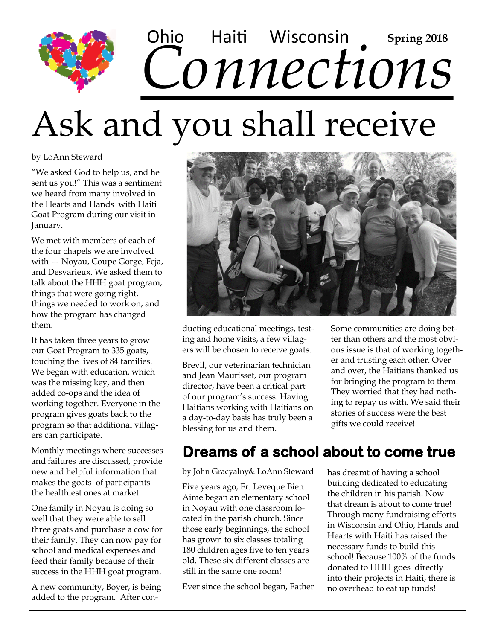## Ohio Haiti Wisconsin Spring 2018<br>CONNECTIONS Haiti Wisconsin **Spring 2018**

# Ask and you shall receive

by LoAnn Steward

"We asked God to help us, and he sent us you!" This was a sentiment we heard from many involved in the Hearts and Hands with Haiti Goat Program during our visit in January.

We met with members of each of the four chapels we are involved with — Noyau, Coupe Gorge, Feja, and Desvarieux. We asked them to talk about the HHH goat program, things that were going right, things we needed to work on, and how the program has changed them.

It has taken three years to grow our Goat Program to 335 goats, touching the lives of 84 families. We began with education, which was the missing key, and then added co-ops and the idea of working together. Everyone in the program gives goats back to the program so that additional villagers can participate.

Monthly meetings where successes and failures are discussed, provide new and helpful information that makes the goats of participants the healthiest ones at market.

One family in Noyau is doing so well that they were able to sell three goats and purchase a cow for their family. They can now pay for school and medical expenses and feed their family because of their success in the HHH goat program.

A new community, Boyer, is being added to the program. After con-



ducting educational meetings, testing and home visits, a few villagers will be chosen to receive goats.

Brevil, our veterinarian technician and Jean Maurisset, our program director, have been a critical part of our program's success. Having Haitians working with Haitians on a day-to-day basis has truly been a blessing for us and them.

Some communities are doing better than others and the most obvious issue is that of working together and trusting each other. Over and over, the Haitians thanked us for bringing the program to them. They worried that they had nothing to repay us with. We said their stories of success were the best gifts we could receive!

### **Dreams of a school about to come true**

by John Gracyalny& LoAnn Steward

Five years ago, Fr. Leveque Bien Aime began an elementary school in Noyau with one classroom located in the parish church. Since those early beginnings, the school has grown to six classes totaling 180 children ages five to ten years old. These six different classes are still in the same one room!

Ever since the school began, Father

has dreamt of having a school building dedicated to educating the children in his parish. Now that dream is about to come true! Through many fundraising efforts in Wisconsin and Ohio, Hands and Hearts with Haiti has raised the necessary funds to build this school! Because 100% of the funds donated to HHH goes directly into their projects in Haiti, there is no overhead to eat up funds!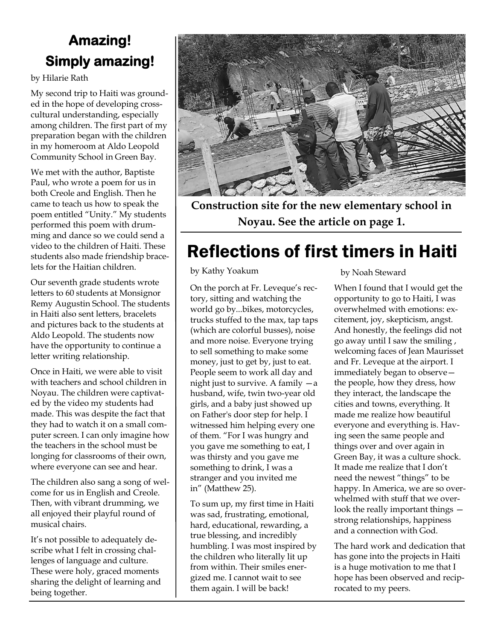## **Amazing! Simply amazing!**

by Hilarie Rath

My second trip to Haiti was grounded in the hope of developing crosscultural understanding, especially among children. The first part of my preparation began with the children in my homeroom at Aldo Leopold Community School in Green Bay.

We met with the author, Baptiste Paul, who wrote a poem for us in both Creole and English. Then he came to teach us how to speak the poem entitled "Unity." My students performed this poem with drumming and dance so we could send a video to the children of Haiti. These students also made friendship bracelets for the Haitian children.

Our seventh grade students wrote letters to 60 students at Monsignor Remy Augustin School. The students in Haiti also sent letters, bracelets and pictures back to the students at Aldo Leopold. The students now have the opportunity to continue a letter writing relationship.

Once in Haiti, we were able to visit with teachers and school children in Noyau. The children were captivated by the video my students had made. This was despite the fact that they had to watch it on a small computer screen. I can only imagine how the teachers in the school must be longing for classrooms of their own, where everyone can see and hear.

The children also sang a song of welcome for us in English and Creole. Then, with vibrant drumming, we all enjoyed their playful round of musical chairs.

It's not possible to adequately describe what I felt in crossing challenges of language and culture. These were holy, graced moments sharing the delight of learning and being together.



**Construction site for the new elementary school in Noyau. See the article on page 1.**

## Reflections of first timers in Haiti

by Kathy Yoakum

On the porch at Fr. Leveque's rectory, sitting and watching the world go by...bikes, motorcycles, trucks stuffed to the max, tap taps (which are colorful busses), noise and more noise. Everyone trying to sell something to make some money, just to get by, just to eat. People seem to work all day and night just to survive. A family —a husband, wife, twin two-year old girls, and a baby just showed up on Father's door step for help. I witnessed him helping every one of them. "For I was hungry and you gave me something to eat, I was thirsty and you gave me something to drink, I was a stranger and you invited me in" (Matthew 25).

To sum up, my first time in Haiti was sad, frustrating, emotional, hard, educational, rewarding, a true blessing, and incredibly humbling. I was most inspired by the children who literally lit up from within. Their smiles energized me. I cannot wait to see them again. I will be back!

by Noah Steward

When I found that I would get the opportunity to go to Haiti, I was overwhelmed with emotions: excitement, joy, skepticism, angst. And honestly, the feelings did not go away until I saw the smiling , welcoming faces of Jean Maurisset and Fr. Leveque at the airport. I immediately began to observe the people, how they dress, how they interact, the landscape the cities and towns, everything. It made me realize how beautiful everyone and everything is. Having seen the same people and things over and over again in Green Bay, it was a culture shock. It made me realize that I don't need the newest "things" to be happy. In America, we are so overwhelmed with stuff that we overlook the really important things strong relationships, happiness and a connection with God.

The hard work and dedication that has gone into the projects in Haiti is a huge motivation to me that I hope has been observed and reciprocated to my peers.